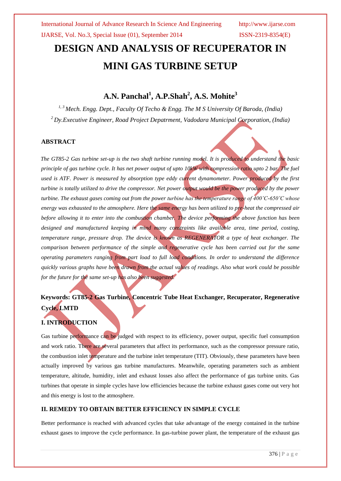# **DESIGN AND ANALYSIS OF RECUPERATOR IN MINI GAS TURBINE SETUP**

## **A.N. Panchal<sup>1</sup> , A.P.Shah<sup>2</sup> , A.S. Mohite<sup>3</sup>**

*1, 3 Mech. Engg. Dept., Faculty Of Techo & Engg. The M S University Of Baroda, (India) <sup>2</sup>Dy.Executive Engineer, Road Project Depatrment, Vadodara Municipal Corporation, (India)*

#### **ABSTRACT**

*The GT85-2 Gas turbine set-up is the two shaft turbine running model. It is produced to understand the basic principle of gas turbine cycle. It has net power output of upto 10kW with compression ratio upto 2 bar. The fuel used is ATF. Power is measured by absorption type eddy current dynamometer. Power produced by the first turbine is totally utilized to drive the compressor. Net power output would be the power produced by the power turbine. The exhaust gases coming out from the power turbine has the temperature range of 400˚C-650˚C whose energy was exhausted to the atmosphere. Here the same energy has been utilized to pre-heat the compressed air before allowing it to enter into the combustion chamber. The device performing the above function has been designed and manufactured keeping in mind many constraints like available area, time period, costing, temperature range, pressure drop. The device is known as REGENERATOR a type of heat exchanger. The comparison between performance of the simple and regenerative cycle has been carried out for the same operating parameters ranging from part load to full load conditions. In order to understand the difference quickly various graphs have been drawn from the actual values of readings. Also what work could be possible for the future for the same set-up has also been suggested.*

## **Keywords: GT85-2 Gas Turbine, Concentric Tube Heat Exchanger, Recuperator, Regenerative Cycle, LMTD**

### **I. INTRODUCTION**

Gas turbine performance can be judged with respect to its efficiency, power output, specific fuel consumption and work ratio. There are several parameters that affect its performance, such as the compressor pressure ratio, the combustion inlet temperature and the turbine inlet temperature (TIT). Obviously, these parameters have been actually improved by various gas turbine manufactures. Meanwhile, operating parameters such as ambient temperature, altitude, humidity, inlet and exhaust losses also affect the performance of gas turbine units. Gas turbines that operate in simple cycles have low efficiencies because the turbine exhaust gases come out very hot and this energy is lost to the atmosphere.

#### **II. REMEDY TO OBTAIN BETTER EFFICIENCY IN SIMPLE CYCLE**

Better performance is reached with advanced cycles that take advantage of the energy contained in the turbine exhaust gases to improve the cycle performance. In gas-turbine power plant, the temperature of the exhaust gas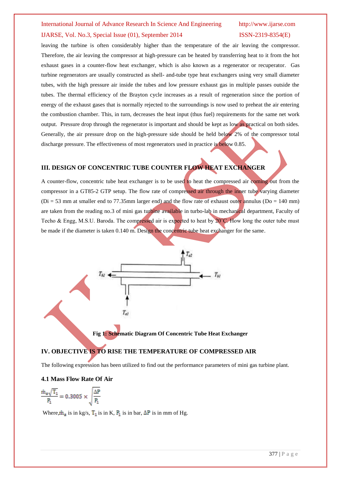## International Journal of Advance Research In Science And Engineering http://www.ijarse.com IJARSE, Vol. No.3, Special Issue (01), September 2014 ISSN-2319-8354(E)

leaving the turbine is often considerably higher than the temperature of the air leaving the compressor. Therefore, the air leaving the compressor at high-pressure can be heated by transferring heat to it from the hot exhaust gases in a counter-flow heat exchanger, which is also known as a regenerator or recuperator. Gas turbine regenerators are usually constructed as shell- and-tube type heat exchangers using very small diameter tubes, with the high pressure air inside the tubes and low pressure exhaust gas in multiple passes outside the tubes. The thermal efficiency of the Brayton cycle increases as a result of regeneration since the portion of energy of the exhaust gases that is normally rejected to the surroundings is now used to preheat the air entering the combustion chamber. This, in turn, decreases the heat input (thus fuel) requirements for the same net work output. Pressure drop through the regenerator is important and should be kept as low as practical on both sides. Generally, the air pressure drop on the high-pressure side should be held below 2% of the compressor total discharge pressure. The effectiveness of most regenerators used in practice is below 0.85.

#### **III. DESIGN OF CONCENTRIC TUBE COUNTER FLOW HEAT EXCHANGER**

A counter-flow, concentric tube heat exchanger is to be used to heat the compressed air coming out from the compressor in a GT85-2 GTP setup. The flow rate of compressed air through the inner tube varying diameter ( $Di = 53$  mm at smaller end to 77.35mm larger end) and the flow rate of exhaust outer annulus ( $Do = 140$  mm) are taken from the reading no.3 of mini gas turbine available in turbo-lab in mechanical department, Faculty of Techo & Engg, M.S.U. Baroda. The compressed air is expected to heat by 20°C. How long the outer tube must be made if the diameter is taken 0.140 m. Design the concentric tube heat exchanger for the same.



**Fig 1: Schematic Diagram Of Concentric Tube Heat Exchanger**

#### **IV. OBJECTIVE IS TO RISE THE TEMPERATURE OF COMPRESSED AIR**

The following expression has been utilized to find out the performance parameters of mini gas turbine plant.

#### **4.1 Mass Flow Rate Of Air**

$$
\frac{\dot{m}_a\sqrt{T_1}}{P_1}=0.3005\times\sqrt{\frac{\Delta P}{P_1}}
$$

Where,  $\mathbf{m}_a$  is in kg/s,  $\mathbf{T}_1$  is in K,  $\mathbf{P}_1$  is in bar,  $\Delta \mathbf{P}$  is in mm of Hg.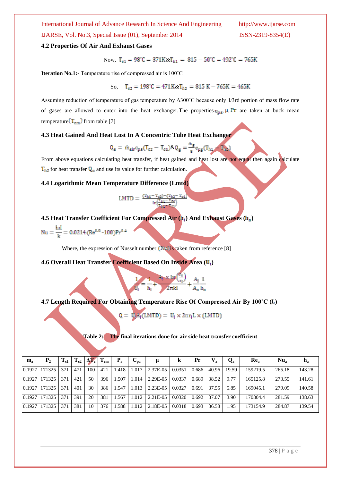International Journal of Advance Research In Science And Engineering http://www.ijarse.com IJARSE, Vol. No.3, Special Issue (01), September 2014 ISSN-2319-8354(E)

#### **4.2 Properties Of Air And Exhaust Gases**

Now,  $T_{c1} = 98^{\circ}C = 371K \& T_{h1} = 815 - 50^{\circ}C = 492^{\circ}C = 765K$ 

**Iteration No.1:-** Temperature rise of compressed air is 100˚C

So,  $T_{c2} = 198^{\circ}C = 471K \& T_{h2} = 815 K - 765K = 465K$ 

 $-T_{h2}$ 

Assuming reduction of temperature of gas temperature by Δ300˚C because only 1⁄3rd portion of mass flow rate of gases are allowed to enter into the heat exchanger. The properties  $c_{pa}$ ,  $\mu$ ,  $Pr$  are taken at buck mean temperature  $(T_{cm})$  from table [7]

#### **4.3 Heat Gained And Heat Lost In A Concentric Tube Heat Exchanger**

$$
Q_{\rm a} = \dot{m}_{\rm air} c_{\rm pa} (T_{\rm c2} - T_{\rm c1}) \& Q_{\rm g} = \frac{m_{\rm g}}{2} c_{\rm pg} (T_{\rm h1})
$$

From above equations calculating heat transfer, if heat gained and heat lost are not equal then again calculate  $T_{h2}$  for heat transfer  $Q_a$  and use its value for further calculation.

 $T_{\rm ex}$ 

#### **4.4 Logarithmic Mean Temperature Difference (Lmtd)**

$$
LMTD = \frac{(T_{hi} - T_{c2}) - (T_{hi})}{ln(\frac{T_{hi} - T_{c2}}{T_{hi} - T_{c1}})}
$$

**4.5 Heat Transfer Coefficient For Compressed Air ( ) And Exhaust Gases ( )**

Nu =  $\frac{hd}{h}$  = 0.0214 (Re<sup>0.8</sup> -100)Pr<sup>0.4</sup>

Where, the expression of Nusselt number  $\left(\frac{\text{N}}{2}\right)$  as taken from reference [8]

**4.6 Overall Heat Transfer Coefficient Based On Inside Area ( )**

**4.7 Length Required For Obtaining Temperature Rise Of Compressed Air By 100˚C ( )**

$$
Q = U_{ij} A_i(LMTD) = U_i \times 2\pi r_i L \times (LMTD)
$$

 $=\frac{1}{h_i} + \frac{A_i \times 1m(\frac{r_o}{r_i})}{2\pi kl} + \frac{A_i}{A_o} \frac{1}{h_o}$ 

**Table 2:- The final iterations done for air side heat transfer coefficient**

| $\mathbf{m}_\mathbf{a}$ | P <sub>2</sub> | $\rm T_{c1}$ | $\rm T_{c2}$ | $\Delta V_{\rm c}$ | $\mathbf{I}_{\text{cm}}$ | $P_{a}$ | $\mathbf{v}_{\mathbf{n}\mathbf{a}}$ |          |        | Pr    | $V_{\rm a}$ | $Q_{\rm a}$ | Re <sub>a</sub> | Nu <sub>a</sub> | $n_{\rm a}$ |
|-------------------------|----------------|--------------|--------------|--------------------|--------------------------|---------|-------------------------------------|----------|--------|-------|-------------|-------------|-----------------|-----------------|-------------|
| 0.1927                  | 171325         | 371          | 471          | 100                | 421                      | 1.418   | 1.017                               | 2.37E-05 | 0.0351 | 0.686 | 40.96       | 19.59       | 159219.5        | 265.18          | 143.28      |
| 0.1927                  | 171325         | 371          | 421          | 50                 | 396                      | l.507   | 1.014                               | 2.29E-05 | 0.0337 | 0.689 | 38.52       | 9.77        | 165125.8        | 273.55          | 141.61      |
| 0.1927                  | 171325         | 371          | 401          | 30                 | 386                      | 1.547   | 1.013                               | 2.23E-05 | 0.0327 | 0.691 | 37.55       | 5.85        | 169045.1        | 279.09          | 140.58      |
| 0.1927                  | 171325         | 371          | 391          | 20                 | 381                      | .567    | 1.012                               | 2.21E-05 | 0.0320 | 0.692 | 37.07       | 3.90        | 170804.4        | 281.59          | 138.63      |
| 0.1927                  | 171325         | 371          | 381          | 10                 | 376                      | .588    | 1.012                               | 2.18E-05 | 0.0318 | 0.693 | 36.58       | 1.95        | 173154.9        | 284.87          | 139.54      |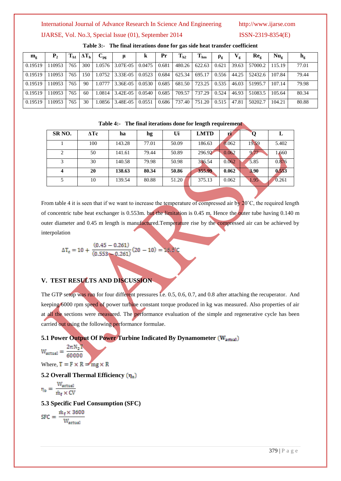#### International Journal of Advance Research In Science And Engineering http://www.ijarse.com

#### IJARSE, Vol. No.3, Special Issue (01), September 2014 ISSN-2319-8354(E)

| $\mathbf{m}_{\sigma}$ | P <sub>2</sub> | $T_{h1}$ | $\Delta T_{\rm h}$ | $\mathbf{U}_{\mathbf{p}\mathbf{g}}$ | μ        | ĸ      | Pr    | $\rm T_{h2}$ | $T_{hm}$ | $\rho_{\rm g}$ | $\bf V_g$ | $Re_{\sigma}$ | $Nu_{\sigma}$ | $n_{\rm g}$ |
|-----------------------|----------------|----------|--------------------|-------------------------------------|----------|--------|-------|--------------|----------|----------------|-----------|---------------|---------------|-------------|
| 0.19519               | 110953         | 765      | 300                | 1.0576                              | 3.07E-05 | 0.0475 | 0.681 | 480.26       | 622.63   | 0.621          | 39.63     | 57000.2       | 115.19        | 77.01       |
| 0.19519               | 110953         | 765      | 150                | 1.0752                              | 3.33E-05 | 0.0523 | 0.684 | 625.34       | 695.17   | 0.556          | 44.25     | 52432.6       | 107.84        | 79.44       |
| 0.19519               | 110953         | 765      | 90                 | 1.0777                              | 3.36E-05 | 0.0530 | 0.685 | 681.50       | 723.25   | 0.535          | 46.03     | 51995.7       | 107.14        | 79.98       |
| 0.19519               | 110953         | 765      | 60                 | 1.0814                              | 3.42E-05 | 0.0540 | 0.685 | 709.57       | 737.29   | 0.524          | 46.93     | 51083.5       | 105.64        | 80.34       |
| 0.19519               | 110953         | 765      | 30                 | 1.0856                              | 3.48E-05 | 0.0551 | 0.686 | 737.40       | 751.20   | 0.515          | 47.81     | 50202.7       | 104.21        | 80.88       |

#### **Table 3:- The final iterations done for gas side heat transfer coefficient**

| Table 4:- The final iterations done for length requirement |
|------------------------------------------------------------|
|------------------------------------------------------------|

| SR <sub>NO</sub> . | $\Delta Tc$ | ha     | hg    | Ui    | <b>LMTD</b> | И     |       |       |
|--------------------|-------------|--------|-------|-------|-------------|-------|-------|-------|
|                    | 100         | 143.28 | 77.01 | 50.09 | 186.63      | 0.062 | 19.59 | 5.402 |
| 2                  | 50          | 141.61 | 79.44 | 50.89 | 296.92      | 0.062 | 9.77  | 1.660 |
| 3                  | 30          | 140.58 | 79.98 | 50.98 | 336.54      | 0.062 | 5.85  | 0.876 |
| 4                  | 20          | 138.63 | 80.34 | 50.86 | 355.99      | 0.062 | 3.90  | 0.553 |
| 5                  | 10          | 139.54 | 80.88 | 51.20 | 375.13      | 0.062 | 1.95  | 0.261 |

From table 4 it is seen that if we want to increase the temperature of compressed air by  $20^{\circ}$ C, the required length of concentric tube heat exchanger is 0.553m. but the limitation is 0.45 m. Hence the outer tube having 0.140 m outer diameter and 0.45 m length is manufactured.Temperature rise by the compressed air can be achieved by interpolation

$$
\Delta T_c = 10 + \frac{(0.45 - 0.261)}{(0.553 - 0.261)}(20 - 10) = 16.3^{\circ}
$$

### **V. TEST RESULTS AND DISCUSSION**

The GTP setup was run for four different pressures i.e. 0.5, 0.6, 0.7, and 0.8 after attaching the recuperator. And keeping 6000 rpm speed of power turbine constant torque produced in kg was measured. Also properties of air at all the sections were measured. The performance evaluation of the simple and regenerative cycle has been carried out using the following performance formulae.

#### **5.1 Power Output Of Power Turbine Indicated By Dynamometer (W<sub>actual</sub>)**

$$
W_{actual} = \frac{2\pi N_2 T}{60000}
$$
  
Where, T = F × R = mg × R

## **5.2 Overall Thermal Efficiency**

$$
\eta_o = \frac{W_{actual}}{\dot{m}_f \times CV}
$$

#### **5.3 Specific Fuel Consumption (SFC)**

$$
SFC = \frac{\dot{m}_f \times 3600}{W_{actual}}
$$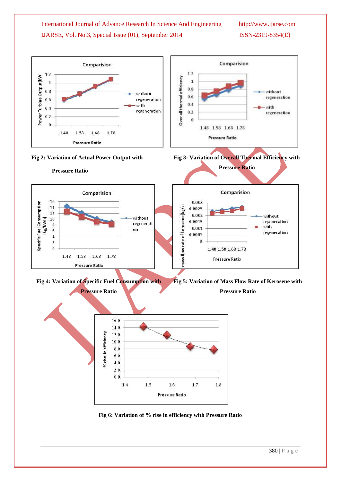